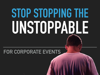# **STOP STOPPING THE UNSTOPPABLE**

## **FOR CORPORATE EVENTS**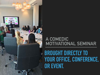

## **BROUGHT DIRECTLY TO YOUR OFFICE, CONFERENCE, OR EVENT.**

## **A COMEDIC MOTIVATIONAL SEMINAR**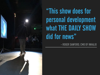

## "This show does for personal development what THE DAILY SHOW did for news"

**- ROGER SANFORD, CMO OF INHALIO**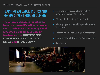### **TEACHING VALUABLE TACTICS AND PERSPECTIVES THROUGH COMEDY**

**The principles beneath the jokes are based on true-to-life self improvement course techniques as taught by world renowned personal development teachers such as TONY ROBBINS, LANDMARK EDUCATION, DAVID DEIDA, and BRENE BROWN.**

- ▸ Physiological State Changing For Emotional State Improvement
- **Distinguishing Story From Reality**
- **Identifying Emotional Dependence On** Problems
- **Reframing Of Negative Self Perception**
- **Trading Expectations For Appreciations**
- And More...

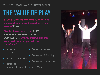## **THE VALUE OF PLAY**

**STOP STOPPING THE UNSTOPPABLE is designed to engage the audience in a state of PLAY.**

**Studies have shown that PLAY REVERSES THE EFFECTS OF DEPRESSION. By introducing play into your environment, you will notice benefits of:**

- ▸ Increased happiness
- ▸ Increased creativity
- **Increased** emotional strength ▸ And More…
- Decreased stress
- Decreased irritability
- Decreased depression
- 

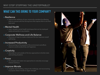#### **WHY STOP STOPPING THE UNSTOPPABLE?**

#### **WHAT CAN THIS BRING TO YOUR COMPANY?**

#### ▸ Resilience

▸ Improve the resilience of your community members by allowing them to connect with the driving force that inspires them to do their best work.

#### ▸ Mental Health

▸ Learn valuable mental health techniques that can be employed easily and quickly in any situation

#### ▸ Corporate Wellness and Life Balance

▸ Discovery of ways to create a balanced life that improves overall well-being

#### ▸ Increased Productivity

▸ Reconnecting to the purpose of the environment and efforts improve overall productivity and happiness

#### **▶ Creativity**

▸ Stimulate fun and outside of the box approaches to familiar tasks and working situations

#### ▸ Focus

▸ Re-energize and create new approaches to naturally encourage interest and focus

#### ▸ Improve Morale

▸ Laughter, team building, rising to the challenge, and reconnecting to purpose allows morale to regain strength.

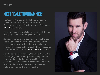## **MEET "DALE THORHAMMER"**

The "seminar" is lead by the fictional Billionaire Transformation Artist to the Stars and a Success Coach to the Personal Developmentally Challenged "Dale Thorhammer".

It's his personal mission in life to help people learn to love themselves - by finding their inner him.

Dale spent his early twenties studying with the best and brightest minds in self-development and the later years studying with the highest teachers of consciousness. And he has brought them together to create his hybrid course of SELF-CONSCIOUSNESS.

Dale leads his seminar taking the group through his life changing seminar complete with inspirational stories, audience facilitations, up-selling other products, and guided meditations that will have you laughing, dancing, and motivating your team to make your company the best it can be.

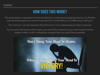## **HOW DOES THIS WORK?**

The presentation is designed to look and feel like a motivational speaking seminar. It is flexible and can be brought to an event of any size from a small office to a 5,000 person ballroom.

The "seminar" can last anywhere from 20 min to 1 hour depending on what is required.

You can pick and choose which topics you would like covered at your event based on time, subject matter, and/or underlying concepts that you would like presented.

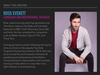### **ROSS EVERETT COMEDIAN AND MOTIVATIONAL SPEAKER**

Ross' award winning work has garnered over 18 million views on YouTube and has been featured on NBC, FOX, Discovery, Sirius XM and Hulu. He has consulted for companies such as Maker Studios, TapouT VTC, and Think Thin.

Having garnered a public following during his time as a host on the popular YouTube Original Channel *SourceFed* in 2014, Ross has since turned his work towards motivational speaking and entrepreneurial facilitation incorporating his improvisation and comedic training to help others in a way that is fun, light hearted, and entertaining.

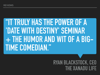## **"IT TRULY HAS THE POWER OF A 'DATE WITH DESTINY' SEMINAR + THE HUMOR AND WIT OF A BIG-TIME COMEDIAN."**

## **RYAN BLACKSTOCK, CEO THE XANADU**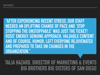## **"AFTER EXPERIENCING RECENT STRESS, OUR STAFF NEEDED AN UPLIFTING CHANGE OF PACE AND 'STOP STOPPING THE UNSTOPPABLE' WAS JUST THE TICKET! ROSS' ENERGY, GENUINE APPROACH, VALUABLE CONTENT AND OF COURSE, HUMOR, LEFT EVERYONE REJUVENATED AND PREPARED TO TAKE ON CHANGES IN THE ORGANIZATION."**

## **TALIA HAZARD, DIRECTOR OF MARKETING & EVENTS BIG BROTHERS BIG SISTERS OF SAN DIEGO**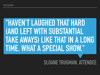## **"HAVEN'T LAUGHED THAT HARD (AND LEFT WITH SUBSTANTIAL TAKE AWAYS) LIKE THAT IN A LONG TIME. WHAT A SPECIAL SHOW."**

## **SLOANE TRUGMAN, ATTENDEE**